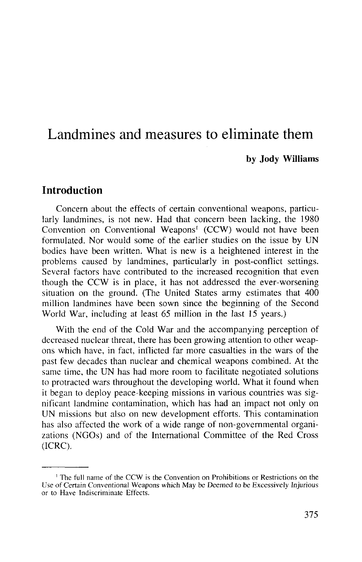# Landmines and measures to eliminate them

#### **by Jody Williams**

#### Introduction

Concern about the effects of certain conventional weapons, particularly landmines, is not new. Had that concern been lacking, the 1980 Convention on Conventional Weapons<sup>1</sup> (CCW) would not have been formulated. Nor would some of the earlier studies on the issue by UN bodies have been written. What is new is a heightened interest in the problems caused by landmines, particularly in post-conflict settings. Several factors have contributed to the increased recognition that even though the CCW is in place, it has not addressed the ever-worsening situation on the ground. (The United States army estimates that 400 million landmines have been sown since the beginning of the Second World War, including at least 65 million in the last 15 years.)

With the end of the Cold War and the accompanying perception of decreased nuclear threat, there has been growing attention to other weapons which have, in fact, inflicted far more casualties in the wars of the past few decades than nuclear and chemical weapons combined. At the same time, the UN has had more room to facilitate negotiated solutions to protracted wars throughout the developing world. What it found when it began to deploy peace-keeping missions in various countries was significant landmine contamination, which has had an impact not only on UN missions but also on new development efforts. This contamination has also affected the work of a wide range of non-governmental organizations (NGOs) and of the International Committee of the Red Cross (ICRC).

<sup>1</sup> The full name of the CCW is the Convention on Prohibitions or Restrictions on the Use of Certain Conventional Weapons which May be Deemed to be Excessively Injurious or to Have Indiscriminate Effects.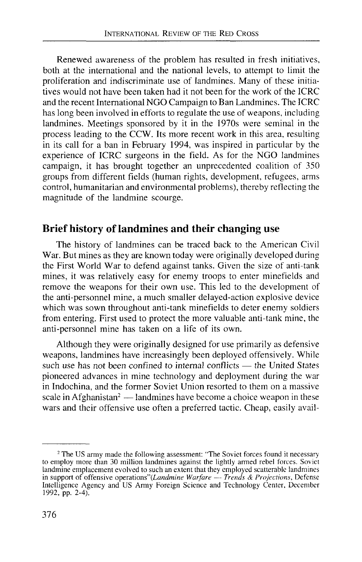Renewed awareness of the problem has resulted in fresh initiatives, both at the international and the national levels, to attempt to limit the proliferation and indiscriminate use of landmines. Many of these initiatives would not have been taken had it not been for the work of the ICRC and the recent International NGO Campaign to Ban Landmines. The ICRC has long been involved in efforts to regulate the use of weapons, including landmines. Meetings sponsored by it in the 1970s were seminal in the process leading to the CCW. Its more recent work in this area, resulting in its call for a ban in February 1994, was inspired in particular by the experience of ICRC surgeons in the field. As for the NGO landmines campaign, it has brought together an unprecedented coalition of 350 groups from different fields (human rights, development, refugees, arms control, humanitarian and environmental problems), thereby reflecting the magnitude of the landmine scourge.

### Brief history of landmines and their changing use

The history of landmines can be traced back to the American Civil War. But mines as they are known today were originally developed during the First World War to defend against tanks. Given the size of anti-tank mines, it was relatively easy for enemy troops to enter minefields and remove the weapons for their own use. This led to the development of the anti-personnel mine, a much smaller delayed-action explosive device which was sown throughout anti-tank minefields to deter enemy soldiers from entering. First used to protect the more valuable anti-tank mine, the anti-personnel mine has taken on a life of its own.

Although they were originally designed for use primarily as defensive weapons, landmines have increasingly been deployed offensively. While such use has not been confined to internal conflicts — the United States pioneered advances in mine technology and deployment during the war in Indochina, and the former Soviet Union resorted to them on a massive scale in Afghanistan<sup>2</sup> — landmines have become a choice weapon in these wars and their offensive use often a preferred tactic. Cheap, easily avail-

<sup>&</sup>lt;sup>2</sup> The US army made the following assessment: "The Soviet forces found it necessary to employ more than 30 million landmines against the lightly armed rebel forces. Soviet landmine emplacement evolved to such an extent that they employed scatterable landmines in support of offensive *opemtions"(Landmine Warfare* — *Trends & Projections,* Defense Intelligence Agency and US Army Foreign Science and Technology Center, December 1992, pp. 2-4).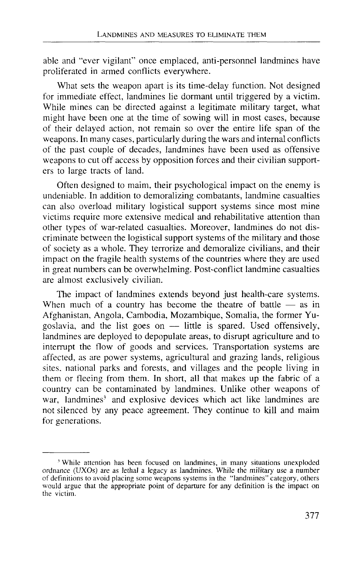able and '"ever vigilant" once emplaced, anti-personnel landmines have proliferated in armed conflicts everywhere.

What sets the weapon apart is its time-delay function. Not designed for immediate effect, landmines lie dormant until triggered by a victim. While mines can be directed against a legitimate military target, what might have been one at the time of sowing will in most cases, because of their delayed action, not remain so over the entire life span of the weapons. In many cases, particularly during the wars and internal conflicts of the past couple of decades, landmines have been used as offensive weapons to cut off access by opposition forces and their civilian supporters to large tracts of land.

Often designed to maim, their psychological impact on the enemy is undeniable. In addition to demoralizing combatants, landmine casualties can also overload military logistical support systems since most mine victims require more extensive medical and rehabilitative attention than other types of war-related casualties. Moreover, landmines do not discriminate between the logistical support systems of the military and those of society as a whole. They terrorize and demoralize civilians, and their impact on the fragile health systems of the countries where they are used in great numbers can be overwhelming. Post-conflict landmine casualties are almost exclusively civilian.

The impact of landmines extends beyond just health-care systems. When much of a country has become the theatre of battle — as in Afghanistan, Angola, Cambodia, Mozambique, Somalia, the former Yugoslavia, and the list goes on — little is spared. Used offensively, landmines are deployed to depopulate areas, to disrupt agriculture and to interrupt the flow of goods and services. Transportation systems are affected, as are power systems, agricultural and grazing lands, religious sites, national parks and forests, and villages and the people living in them or fleeing from them. In short, all that makes up the fabric of a country can be contaminated by landmines. Unlike other weapons of war, landmines<sup>3</sup> and explosive devices which act like landmines are not silenced by any peace agreement. They continue to kill and maim for generations.

<sup>&#</sup>x27; While attention has been focused on landmines, in many situations unexploded ordnance (UXOs) are as lethal a legacy as landmines. While the military use a number of definitions to avoid placing some weapons systems in the "landmines" category, others would argue that the appropriate point of departure for any definition is the impact on the victim.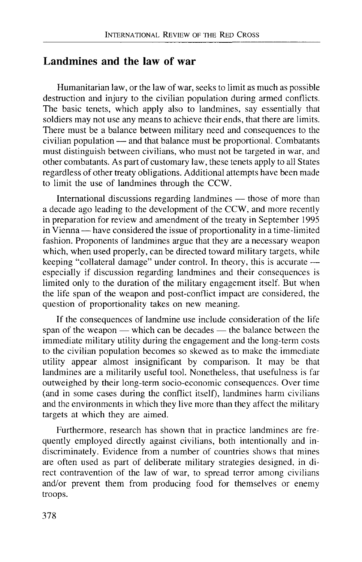### Landmines and the law of war

Humanitarian law, or the law of war, seeks to limit as much as possible destruction and injury to the civilian population during armed conflicts. The basic tenets, which apply also to landmines, say essentially that soldiers may not use any means to achieve their ends, that there are limits. There must be a balance between military need and consequences to the civilian population — and that balance must be proportional. Combatants must distinguish between civilians, who must not be targeted in war, and other combatants. As part of customary law, these tenets apply to all States regardless of other treaty obligations. Additional attempts have been made to limit the use of landmines through the CCW.

International discussions regarding landmines — those of more than a decade ago leading to the development of the CCW, and more recently in preparation for review and amendment of the treaty in September 1995 in Vienna — have considered the issue of proportionality in a time-limited fashion. Proponents of landmines argue that they are a necessary weapon which, when used properly, can be directed toward military targets, while keeping "collateral damage" under control. In theory, this is accurate especially if discussion regarding landmines and their consequences is limited only to the duration of the military engagement itself. But when the life span of the weapon and post-conflict impact are considered, the question of proportionality takes on new meaning.

If the consequences of landmine use include consideration of the life span of the weapon — which can be decades — the balance between the immediate military utility during the engagement and the long-term costs to the civilian population becomes so skewed as to make the immediate utility appear almost insignificant by comparison. It may be that landmines are a militarily useful tool. Nonetheless, that usefulness is far outweighed by their long-term socio-economic consequences. Over time (and in some cases during the conflict itself), landmines harm civilians and the environments in which they live more than they affect the military targets at which they are aimed.

Furthermore, research has shown that in practice landmines are frequently employed directly against civilians, both intentionally and indiscriminately. Evidence from a number of countries shows that mines are often used as part of deliberate military strategies designed, in direct contravention of the law of war, to spread terror among civilians and/or prevent them from producing food for themselves or enemy troops.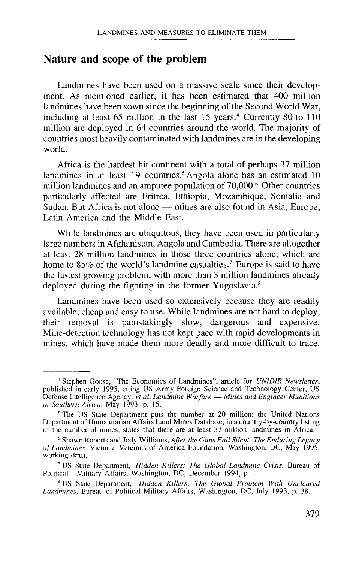### Nature and scope of the problem

Landmines have been used on a massive scale since their development. As mentioned earlier, it has been estimated that 400 million landmines have been sown since the beginning of the Second World War, including at least 65 million in the last 15 years.<sup>4</sup> Currently 80 to 110 million are deployed in 64 countries around the world. The majority of countries most heavily contaminated with landmines are in the developing world.

Africa is the hardest hit continent with a total of perhaps 37 million landmines in at least 19 countries.<sup>5</sup> Angola alone has an estimated 10 million landmines and an amputee population of 70,000.<sup>6</sup> Other countries particularly affected are Eritrea, Ethiopia, Mozambique, Somalia and Sudan. But Africa is not alone — mines are also found in Asia, Europe, Latin America and the Middle East.

While landmines are ubiquitous, they have been used in particularly large numbers in Afghanistan, Angola and Cambodia. There are altogether at least 28 million landmines in those three countries alone, which are home to 85% of the world's landmine casualties.<sup>7</sup> Europe is said to have the fastest growing problem, with more than 3 million landmines already deployed during the fighting in the former Yugoslavia.<sup>8</sup>

Landmines have been used so extensively because they are readily available, cheap and easy to use. While landmines are not hard to deploy, their removal is painstakingly slow, dangerous and expensive. Mine-detection technology has not kept pace with rapid developments in mines, which have made them more deadly and more difficult to trace.

<sup>4</sup> Stephen Goose, "The Economics of Landmines", article for *UNIDIR Newsletter,* published in early 1995, citing US Army Foreign Science and Technology Center, US Defense Intelligence Agency, *el al. Landmine Warfare* — *Mines and Engineer Munitions in Southern Africa,* May 1993, p. 15.

<sup>&</sup>lt;sup>5</sup> The US State Department puts the number at 20 million; the United Nations Department of Humanitarian Affairs Land Mines Database, in a country-by-country listing of the number of mines, states that there are at least 37 million landmines in Africa.

<sup>6</sup> Shawn Roberts and Jody Williams, *After the Guns Fall Silent: The Enduring Legacy of Landmines,* Vietnam Veterans of America Foundation, Washington, DC, May 1995, working draft.

<sup>7</sup> US State Department, *Hidden Killers: The Global Landmine Crisis,* Bureau of Political - Military Affairs, Washington, DC, December 1994, p. 1.

<sup>\*</sup> US State Department, *Hidden Killers: The Global Problem With Uncleared Landmines,* Bureau of Political-Military Affairs, Washington, DC, July 1993, p. 38.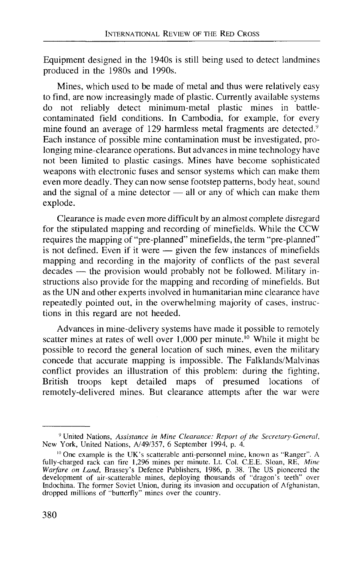Equipment designed in the 1940s is still being used to detect landmines produced in the 1980s and 1990s.

Mines, which used to be made of metal and thus were relatively easy to find, are now increasingly made of plastic. Currently available systems do not reliably detect minimum-metal plastic mines in battlecontaminated field conditions. In Cambodia, for example, for every mine found an average of 129 harmless metal fragments are detected.<sup>9</sup> Each instance of possible mine contamination must be investigated, prolonging mine-clearance operations. But advances in mine technology have not been limited to plastic casings. Mines have become sophisticated weapons with electronic fuses and sensor systems which can make them even more deadly. They can now sense footstep patterns, body heat, sound and the signal of a mine detector — all or any of which can make them explode.

Clearance is made even more difficult by an almost complete disregard for the stipulated mapping and recording of minefields. While the CCW requires the mapping of "pre-planned" minefields, the term "pre-planned" is not defined. Even if it were — given the few instances of minefields mapping and recording in the majority of conflicts of the past several decades — the provision would probably not be followed. Military instructions also provide for the mapping and recording of minefields. But as the UN and other experts involved in humanitarian mine clearance have repeatedly pointed out, in the overwhelming majority of cases, instructions in this regard are not heeded.

Advances in mine-delivery systems have made it possible to remotely scatter mines at rates of well over 1,000 per minute.<sup>10</sup> While it might be possible to record the general location of such mines, even the military concede that accurate mapping is impossible. The Falklands/Malvinas conflict provides an illustration of this problem: during the fighting, British troops kept detailed maps of presumed locations of remotely-delivered mines. But clearance attempts after the war were

<sup>9</sup> United Nations, *Assistance in Mine Clearance: Report of the Secretary-General,* New York, United Nations, A/49/357, 6 September 1994, p. 4.

<sup>10</sup> One example is the UK's scatterable anti-personnel mine, known as "Ranger". A fully-charged rack can fire 1,296 mines per minute. Lt. Col. C.E.E. Sloan, RE, *Mine Warfare on Land,* Brassey's Defence Publishers, 1986, p. 38. The US pioneered the development of air-scatterable mines, deploying thousands of "dragon's teeth" over Indochina. The former Soviet Union, during its invasion and occupation of Afghanistan, dropped millions of "butterfly" mines over the country.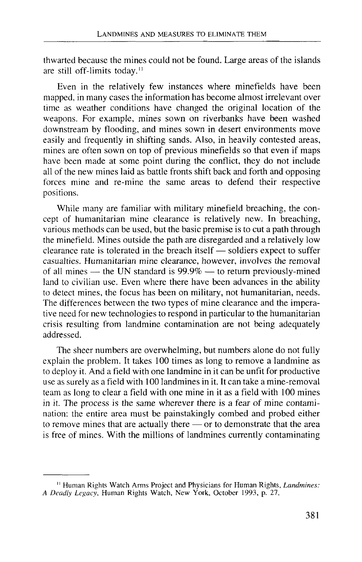thwarted because the mines could not be found. Large areas of the islands are still off-limits today."

Even in the relatively few instances where minefields have been mapped, in many cases the information has become almost irrelevant over time as weather conditions have changed the original location of the weapons. For example, mines sown on riverbanks have been washed downstream by flooding, and mines sown in desert environments move easily and frequently in shifting sands. Also, in heavily contested areas, mines are often sown on top of previous minefields so that even if maps have been made at some point during the conflict, they do not include all of the new mines laid as battle fronts shift back and forth and opposing forces mine and re-mine the same areas to defend their respective positions.

While many are familiar with military minefield breaching, the concept of humanitarian mine clearance is relatively new. In breaching, various methods can be used, but the basic premise is to cut a path through the minefield. Mines outside the path are disregarded and a relatively low clearance rate is tolerated in the breach itself— soldiers expect to suffer casualties. Humanitarian mine clearance, however, involves the removal of all mines — the UN standard is 99.9% — to return previously-mined land to civilian use. Even where there have been advances in the ability to detect mines, the focus has been on military, not humanitarian, needs. The differences between the two types of mine clearance and the imperative need for new technologies to respond in particular to the humanitarian crisis resulting from landmine contamination are not being adequately addressed.

The sheer numbers are overwhelming, but numbers alone do not fully explain the problem. It takes 100 times as long to remove a landmine as to deploy it. And a field with one landmine in it can be unfit for productive use as surely as a field with 100 landmines in it. It can take a mine-removal team as long to clear a field with one mine in it as a field with 100 mines in it. The process is the same wherever there is a fear of mine contamination: the entire area must be painstakingly combed and probed either to remove mines that are actually there — or to demonstrate that the area is free of mines. With the millions of landmines currently contaminating

<sup>&</sup>quot; Human Rights Watch Arms Project and Physicians for Human Rights, *Landmines: A Deadly Legacy,* Human Rights Watch, New York, October 1993, p. 27.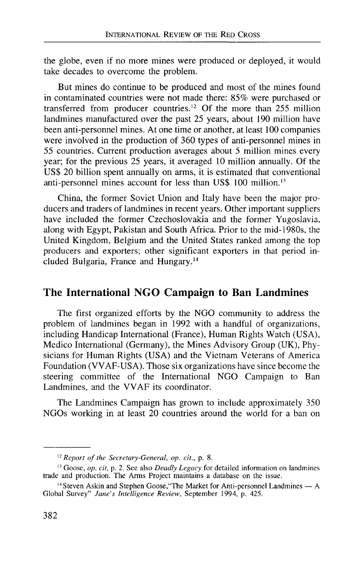the globe, even if no more mines were produced or deployed, it would take decades to overcome the problem.

But mines do continue to be produced and most of the mines found in contaminated countries were not made there: 85% were purchased or transferred from producer countries.<sup>12</sup> Of the more than 255 million landmines manufactured over the past 25 years, about 190 million have been anti-personnel mines. At one time or another, at least 100 companies were involved in the production of 360 types of anti-personnel mines in 55 countries. Current production averages about 5 million mines every year; for the previous 25 years, it averaged 10 million annually. Of the US\$ 20 billion spent annually on arms, it is estimated that conventional anti-personnel mines account for less than US\$ 100 million.<sup>13</sup>

China, the former Soviet Union and Italy have been the major producers and traders of landmines in recent years. Other important suppliers have included the former Czechoslovakia and the former Yugoslavia, along with Egypt, Pakistan and South Africa. Prior to the mid-1980s, the United Kingdom, Belgium and the United States ranked among the top producers and exporters; other significant exporters in that period included Bulgaria, France and Hungary.<sup>14</sup>

### The International NGO Campaign to Ban Landmines

The first organized efforts by the NGO community to address the problem of landmines began in 1992 with a handful of organizations, including Handicap International (France), Human Rights Watch (USA), Medico International (Germany), the Mines Advisory Group (UK), Physicians for Human Rights (USA) and the Vietnam Veterans of America Foundation (VVAF-USA). Those six organizations have since become the steering committee of the International NGO Campaign to Ban Landmines, and the VVAF its coordinator.

The Landmines Campaign has grown to include approximately 350 NGOs working in at least 20 countries around the world for a ban on

<sup>&</sup>lt;sup>12</sup> Report of the Secretary-General, op. cit., p. 8.

<sup>13</sup> Goose, *op. cit,* p. 2. See also *Deadly Legacy* for detailed information on landmines trade and production. The Arms Project maintains a database on the issue.

<sup>&</sup>lt;sup>14</sup> Steven Askin and Stephen Goose, "The Market for Anti-personnel Landmines - A Global Survey" *Jane's Intelligence Review,* September 1994, p. 425.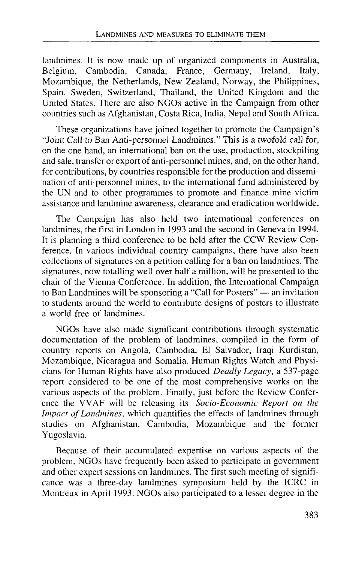landmines. It is now made up of organized components in Australia, Belgium, Cambodia, Canada, France, Germany, Ireland, Italy, Mozambique, the Netherlands, New Zealand, Norway, the Philippines, Spain, Sweden, Switzerland, Thailand, the United Kingdom and the United States. There are also NGOs active in the Campaign from other countries such as Afghanistan, Costa Rica, India, Nepal and South Africa.

These organizations have joined together to promote the Campaign's '"Joint Call to Ban Anti-personnel Landmines." This is a twofold call for, on the one hand, an international ban on the use, production, stockpiling and sale, transfer or export of anti-personnel mines, and, on the other hand, for contributions, by countries responsible for the production and dissemination of anti-personnel mines, to the international fund administered by the UN and to other programmes to promote and finance mine victim assistance and landmine awareness, clearance and eradication worldwide.

The Campaign has also held two international conferences on landmines, the first in London in 1993 and the second in Geneva in 1994. It is planning a third conference to be held after the CCW Review Conference. In various individual country campaigns, there have also been collections of signatures on a petition calling for a ban on landmines. The signatures, now totalling well over half a million, will be presented to the chair of the Vienna Conference. In addition, the International Campaign to Ban Landmines will be sponsoring a "Call for Posters" — an invitation to students around the world to contribute designs of posters to illustrate a world free of landmines.

NGOs have also made significant contributions through systematic documentation of the problem of landmines, compiled in the form of country reports on Angola, Cambodia, El Salvador, Iraqi Kurdistan, Mozambique, Nicaragua and Somalia. Human Rights Watch and Physicians for Human Rights have also produced *Deadly Legacy,* a 537-page report considered to be one of the most comprehensive works on the various aspects of the problem. Finally, just before the Review Conference the VVAF will be releasing its *Socio-Economic Report on the Impact of Landmines,* which quantifies the effects of landmines through studies on Afghanistan, Cambodia, Mozambique and the former Yugoslavia.

Because of their accumulated expertise on various aspects of the problem, NGOs have frequently been asked to participate in government and other expert sessions on landmines. The first such meeting of significance was a three-day landmines symposium held by the ICRC in Montreux in April 1993. NGOs also participated to a lesser degree in the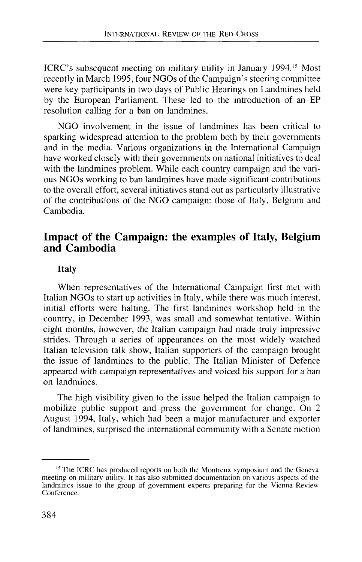ICRC's subsequent meeting on military utility in January 1994.<sup>15</sup> Most recently in March 1995, four NGOs of the Campaign's steering committee were key participants in two days of Public Hearings on Landmines held by the European Parliament. These led to the introduction of an EP resolution calling for a ban on landmines.

NGO involvement in the issue of landmines has been critical to sparking widespread attention to the problem both by their governments and in the media. Various organizations in the International Campaign have worked closely with their governments on national initiatives to deal with the landmines problem. While each country campaign and the various NGOs working to ban landmines have made significant contributions to the overall effort, several initiatives stand out as particularly illustrative of the contributions of the NGO campaign: those of Italy, Belgium and Cambodia.

### Impact of the Campaign: the examples of Italy, Belgium and Cambodia

#### **Italy**

When representatives of the International Campaign first met with Italian NGOs to start up activities in Italy, while there was much interest, initial efforts were halting. The first landmines workshop held in the country, in December 1993, was small and somewhat tentative. Within eight months, however, the Italian campaign had made truly impressive strides. Through a series of appearances on the most widely watched Italian television talk show, Italian supporters of the campaign brought the issue of landmines to the public. The Italian Minister of Defence appeared with campaign representatives and voiced his support for a ban on landmines.

The high visibility given to the issue helped the Italian campaign to mobilize public support and press the government for change. On 2 August 1994, Italy, which had been a major manufacturer and exporter of landmines, surprised the international community with a Senate motion

<sup>&</sup>lt;sup>15</sup> The ICRC has produced reports on both the Montreux symposium and the Geneva meeting on military utility. It has also submitted documentation on various aspects of the landmines issue to the group of government experts preparing for the Vienna Review Conference.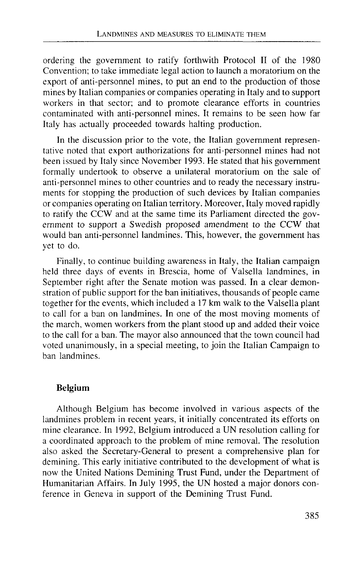ordering the government to ratify forthwith Protocol II of the 1980 Convention; to take immediate legal action to launch a moratorium on the export of anti-personnel mines, to put an end to the production of those mines by Italian companies or companies operating in Italy and to support workers in that sector; and to promote clearance efforts in countries contaminated with anti-personnel mines. It remains to be seen how far Italy has actually proceeded towards halting production.

In the discussion prior to the vote, the Italian government representative noted that export authorizations for anti-personnel mines had not been issued by Italy since November 1993. He stated that his government formally undertook to observe a unilateral moratorium on the sale of anti-personnel mines to other countries and to ready the necessary instruments for stopping the production of such devices by Italian companies or companies operating on Italian territory. Moreover, Italy moved rapidly to ratify the CCW and at the same time its Parliament directed the government to support a Swedish proposed amendment to the CCW that would ban anti-personnel landmines. This, however, the government has yet to do.

Finally, to continue building awareness in Italy, the Italian campaign held three days of events in Brescia, home of Valsella landmines, in September right after the Senate motion was passed. In a clear demonstration of public support for the ban initiatives, thousands of people came together for the events, which included a 17 km walk to the Valsella plant to call for a ban on landmines. In one of the most moving moments of the march, women workers from the plant stood up and added their voice to the call for a ban. The mayor also announced that the town council had voted unanimously, in a special meeting, to join the Italian Campaign to ban landmines.

#### **Belgium**

Although Belgium has become involved in various aspects of the landmines problem in recent years, it initially concentrated its efforts on mine clearance. In 1992, Belgium introduced a UN resolution calling for a coordinated approach to the problem of mine removal. The resolution also asked the Secretary-General to present a comprehensive plan for demining. This early initiative contributed to the development of what is now the United Nations Demining Trust Fund, under the Department of Humanitarian Affairs. In July 1995, the UN hosted a major donors conference in Geneva in support of the Demining Trust Fund.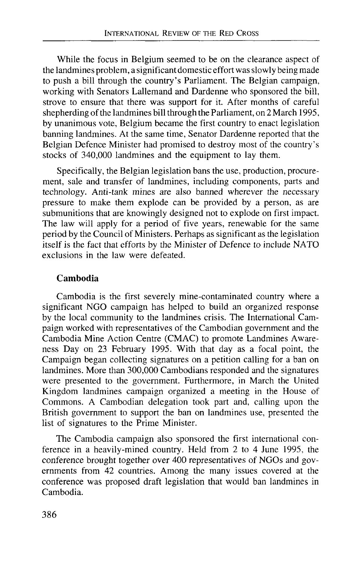While the focus in Belgium seemed to be on the clearance aspect of the landmines problem, a significant domestic effort was slowly being made to push a bill through the country's Parliament. The Belgian campaign, working with Senators Lallemand and Dardenne who sponsored the bill. strove to ensure that there was support for it. After months of careful shepherding of the landmines bill through the Parliament, on 2 March 1995, by unanimous vote, Belgium became the first country to enact legislation banning landmines. At the same time, Senator Dardenne reported that the Belgian Defence Minister had promised to destroy most of the country's stocks of 340,000 landmines and the equipment to lay them.

Specifically, the Belgian legislation bans the use, production, procurement, sale and transfer of landmines, including components, parts and technology. Anti-tank mines are also banned wherever the necessary pressure to make them explode can be provided by a person, as are submunitions that are knowingly designed not to explode on first impact. The law will apply for a period of five years, renewable for the same period by the Council of Ministers. Perhaps as significant as the legislation itself is the fact that efforts by the Minister of Defence to include NATO exclusions in the law were defeated.

#### **Cambodia**

Cambodia is the first severely mine-contaminated country where a significant NGO campaign has helped to build an organized response by the local community to the landmines crisis. The International Campaign worked with representatives of the Cambodian government and the Cambodia Mine Action Centre (CMAC) to promote Landmines Awareness Day on 23 February 1995. With that day as a focal point, the Campaign began collecting signatures on a petition calling for a ban on landmines. More than 300,000 Cambodians responded and the signatures were presented to the government. Furthermore, in March the United Kingdom landmines campaign organized a meeting in the House of Commons. A Cambodian delegation took part and, calling upon the British government to support the ban on landmines use, presented the list of signatures to the Prime Minister.

The Cambodia campaign also sponsored the first international conference in a heavily-mined country. Held from 2 to 4 June 1995, the conference brought together over 400 representatives of NGOs and governments from 42 countries. Among the many issues covered at the conference was proposed draft legislation that would ban landmines in Cambodia.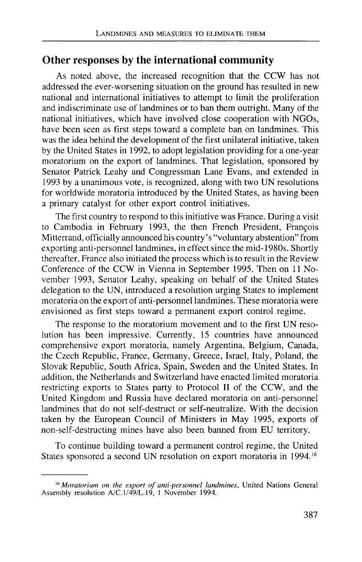### Other responses by the international community

As noted above, the increased recognition that the CCW has not addressed the ever-worsening situation on the ground has resulted in new national and international initiatives to attempt to limit the proliferation and indiscriminate use of landmines or to ban them outright. Many of the national initiatives, which have involved close cooperation with NGOs, have been seen as first steps toward a complete ban on landmines. This was the idea behind the development of the first unilateral initiative, taken by the United States in 1992, to adopt legislation providing for a one-year moratorium on the export of landmines. That legislation, sponsored by Senator Patrick Leahy and Congressman Lane Evans, and extended in 1993 by a unanimous vote, is recognized, along with two UN resolutions for worldwide moratoria introduced by the United States, as having been a primary catalyst for other export control initiatives.

The first country to respond to this initiative was France. During a visit to Cambodia in February 1993, the then French President, Francois Mitterrand, officially announced his country's "voluntary abstention" from exporting anti-personnel landmines, in effect since the mid-1980s. Shortly thereafter, France also initiated the process which is to result in the Review Conference of the CCW in Vienna in September 1995. Then on 11 November 1993, Senator Leahy, speaking on behalf of the United States delegation to the UN, introduced a resolution urging States to implement moratoria on the export of anti-personnel landmines. These moratoria were envisioned as first steps toward a permanent export control regime.

The response to the moratorium movement and to the first UN resolution has been impressive. Currently, 15 countries have announced comprehensive export moratoria, namely Argentina, Belgium, Canada, the Czech Republic, France, Germany, Greece, Israel, Italy, Poland, the Slovak Republic, South Africa, Spain, Sweden and the United States. In addition, the Netherlands and Switzerland have enacted limited moratoria restricting exports to States party to Protocol II of the CCW, and the United Kingdom and Russia have declared moratoria on anti-personnel landmines that do not self-destruct or self-neutralize. With the decision taken by the European Council of Ministers in May 1995, exports of non-self-destructing mines have also been banned from EU territory.

To continue building toward a permanent control regime, the United States sponsored a second UN resolution on export moratoria in 1994.16

<sup>&</sup>lt;sup>16</sup> Moratorium on the export of anti-personnel landmines, United Nations General Assembly resolution A/C.1/49/L.19, 1 November 1994.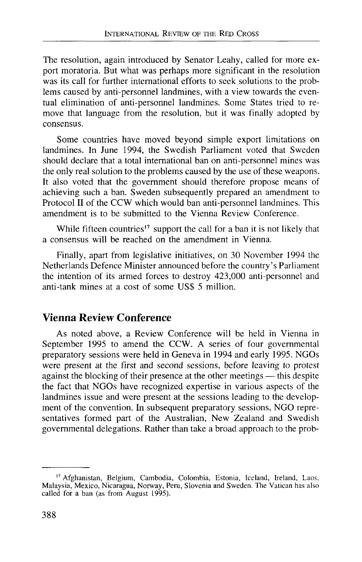The resolution, again introduced by Senator Leahy, called for more export moratoria. But what was perhaps more significant in the resolution was its call for further international efforts to seek solutions to the problems caused by anti-personnel landmines, with a view towards the eventual elimination of anti-personnel landmines. Some States tried to remove that language from the resolution, but it was finally adopted by consensus.

Some countries have moved beyond simple export limitations on landmines. In June 1994, the Swedish Parliament voted that Sweden should declare that a total international ban on anti-personnel mines was the only real solution to the problems caused by the use of these weapons. It also voted that the government should therefore propose means of achieving such a ban. Sweden subsequently prepared an amendment to Protocol II of the CCW which would ban anti-personnel landmines. This amendment is to be submitted to the Vienna Review Conference.

While fifteen countries<sup>17</sup> support the call for a ban it is not likely that a consensus will be reached on the amendment in Vienna.

Finally, apart from legislative initiatives, on 30 November 1994 the Netherlands Defence Minister announced before the country's Parliament the intention of its armed forces to destroy 423,000 anti-personnel and anti-tank mines at a cost of some US\$ 5 million.

### Vienna Review Conference

As noted above, a Review Conference will be held in Vienna in September 1995 to amend the CCW. A series of four governmental preparatory sessions were held in Geneva in 1994 and early 1995. NGOs were present at the first and second sessions, before leaving to protest against the blocking of their presence at the other meetings — this despite the fact that NGOs have recognized expertise in various aspects of the landmines issue and were present at the sessions leading to the development of the convention. In subsequent preparatory sessions, NGO representatives formed part of the Australian, New Zealand and Swedish governmental delegations. Rather than take a broad approach to the prob-

<sup>17</sup> Afghanistan, Belgium, Cambodia, Colombia, Estonia, Iceland, Ireland, Laos, Malaysia, Mexico, Nicaragua, Norway, Peru, Slovenia and Sweden. The Vatican has also called for a ban (as from August 1995).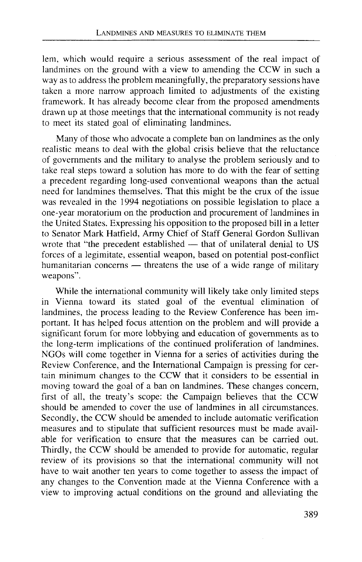lem, which would require a serious assessment of the real impact of landmines on the ground with a view to amending the CCW in such a way as to address the problem meaningfully, the preparatory sessions have taken a more narrow approach limited to adjustments of the existing framework. It has already become clear from the proposed amendments drawn up at those meetings that the international community is not ready to meet its stated goal of eliminating landmines.

Many of those who advocate a complete ban on landmines as the only realistic means to deal with the global crisis believe that the reluctance of governments and the military to analyse the problem seriously and to take real steps toward a solution has more to do with the fear of setting a precedent regarding long-used conventional weapons than the actual need for landmines themselves. That this might be the crux of the issue was revealed in the 1994 negotiations on possible legislation to place a one-year moratorium on the production and procurement of landmines in the United States. Expressing his opposition to the proposed bill in a letter to Senator Mark Hatfield, Army Chief of Staff General Gordon Sullivan wrote that "the precedent established — that of unilateral denial to US forces of a legimitate, essential weapon, based on potential post-conflict humanitarian concerns — threatens the use of a wide range of military weapons".

While the international community will likely take only limited steps in Vienna toward its stated goal of the eventual elimination of landmines, the process leading to the Review Conference has been important. It has helped focus attention on the problem and will provide a significant forum for more lobbying and education of governments as to the long-term implications of the continued proliferation of landmines. NGOs will come together in Vienna for a series of activities during the Review Conference, and the International Campaign is pressing for certain minimum changes to the CCW that it considers to be essential in moving toward the goal of a ban on landmines. These changes concern, first of all, the treaty's scope: the Campaign believes that the CCW should be amended to cover the use of landmines in all circumstances. Secondly, the CCW should be amended to include automatic verification measures and to stipulate that sufficient resources must be made available for verification to ensure that the measures can be carried out. Thirdly, the CCW should be amended to provide for automatic, regular review of its provisions so that the international community will not have to wait another ten years to come together to assess the impact of any changes to the Convention made at the Vienna Conference with a view to improving actual conditions on the ground and alleviating the